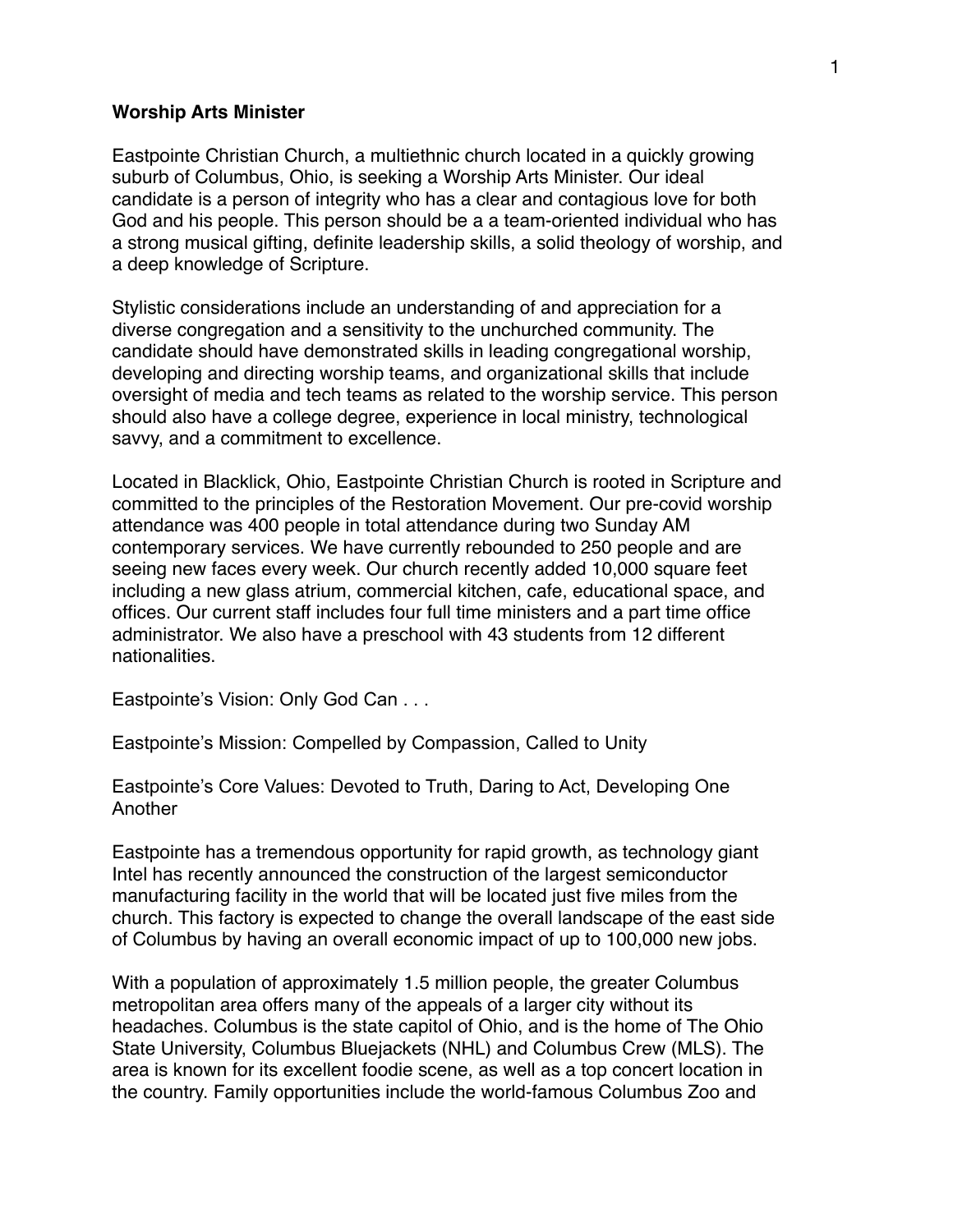#### **Worship Arts Minister**

Eastpointe Christian Church, a multiethnic church located in a quickly growing suburb of Columbus, Ohio, is seeking a Worship Arts Minister. Our ideal candidate is a person of integrity who has a clear and contagious love for both God and his people. This person should be a a team-oriented individual who has a strong musical gifting, definite leadership skills, a solid theology of worship, and a deep knowledge of Scripture.

Stylistic considerations include an understanding of and appreciation for a diverse congregation and a sensitivity to the unchurched community. The candidate should have demonstrated skills in leading congregational worship, developing and directing worship teams, and organizational skills that include oversight of media and tech teams as related to the worship service. This person should also have a college degree, experience in local ministry, technological savvy, and a commitment to excellence.

Located in Blacklick, Ohio, Eastpointe Christian Church is rooted in Scripture and committed to the principles of the Restoration Movement. Our pre-covid worship attendance was 400 people in total attendance during two Sunday AM contemporary services. We have currently rebounded to 250 people and are seeing new faces every week. Our church recently added 10,000 square feet including a new glass atrium, commercial kitchen, cafe, educational space, and offices. Our current staff includes four full time ministers and a part time office administrator. We also have a preschool with 43 students from 12 different nationalities.

Eastpointe's Vision: Only God Can . . .

Eastpointe's Mission: Compelled by Compassion, Called to Unity

Eastpointe's Core Values: Devoted to Truth, Daring to Act, Developing One Another

Eastpointe has a tremendous opportunity for rapid growth, as technology giant Intel has recently announced the construction of the largest semiconductor manufacturing facility in the world that will be located just five miles from the church. This factory is expected to change the overall landscape of the east side of Columbus by having an overall economic impact of up to 100,000 new jobs.

With a population of approximately 1.5 million people, the greater Columbus metropolitan area offers many of the appeals of a larger city without its headaches. Columbus is the state capitol of Ohio, and is the home of The Ohio State University, Columbus Bluejackets (NHL) and Columbus Crew (MLS). The area is known for its excellent foodie scene, as well as a top concert location in the country. Family opportunities include the world-famous Columbus Zoo and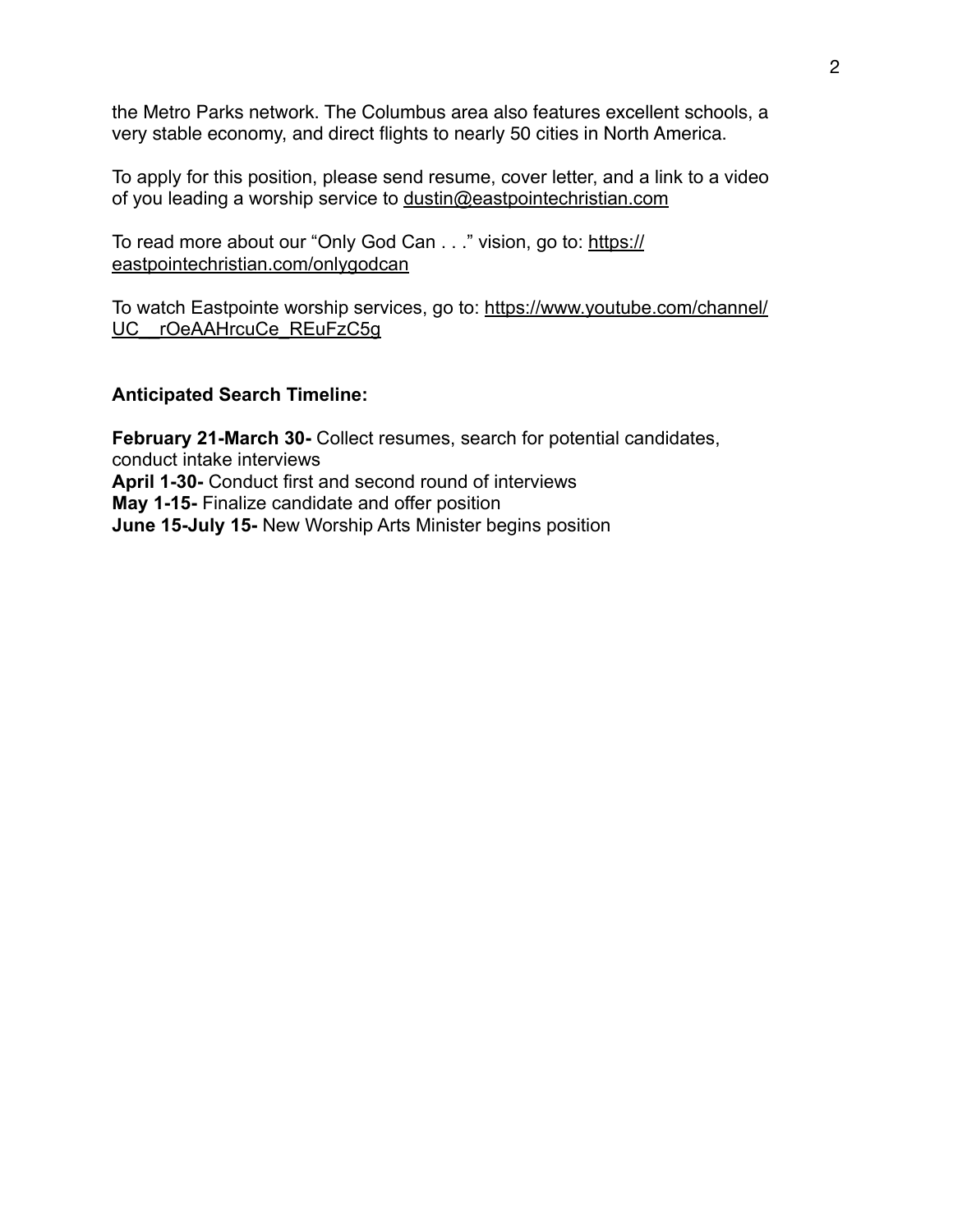the Metro Parks network. The Columbus area also features excellent schools, a very stable economy, and direct flights to nearly 50 cities in North America.

To apply for this position, please send resume, cover letter, and a link to a video of you leading a worship service to [dustin@eastpointechristian.com](mailto:dustin@eastpointechristian.com)

To read more about our "Only God Can . . ." vision, go to: [https://](https://eastpointechristian.com/onlygodcan) [eastpointechristian.com/onlygodcan](https://eastpointechristian.com/onlygodcan)

To watch Eastpointe worship services, go to: [https://www.youtube.com/channel/](https://www.youtube.com/channel/UC__rOeAAHrcuCe_REuFzC5g) UC rOeAAHrcuCe REuFzC5g

#### **Anticipated Search Timeline:**

**February 21-March 30-** Collect resumes, search for potential candidates, conduct intake interviews **April 1-30-** Conduct first and second round of interviews **May 1-15-** Finalize candidate and offer position **June 15-July 15-** New Worship Arts Minister begins position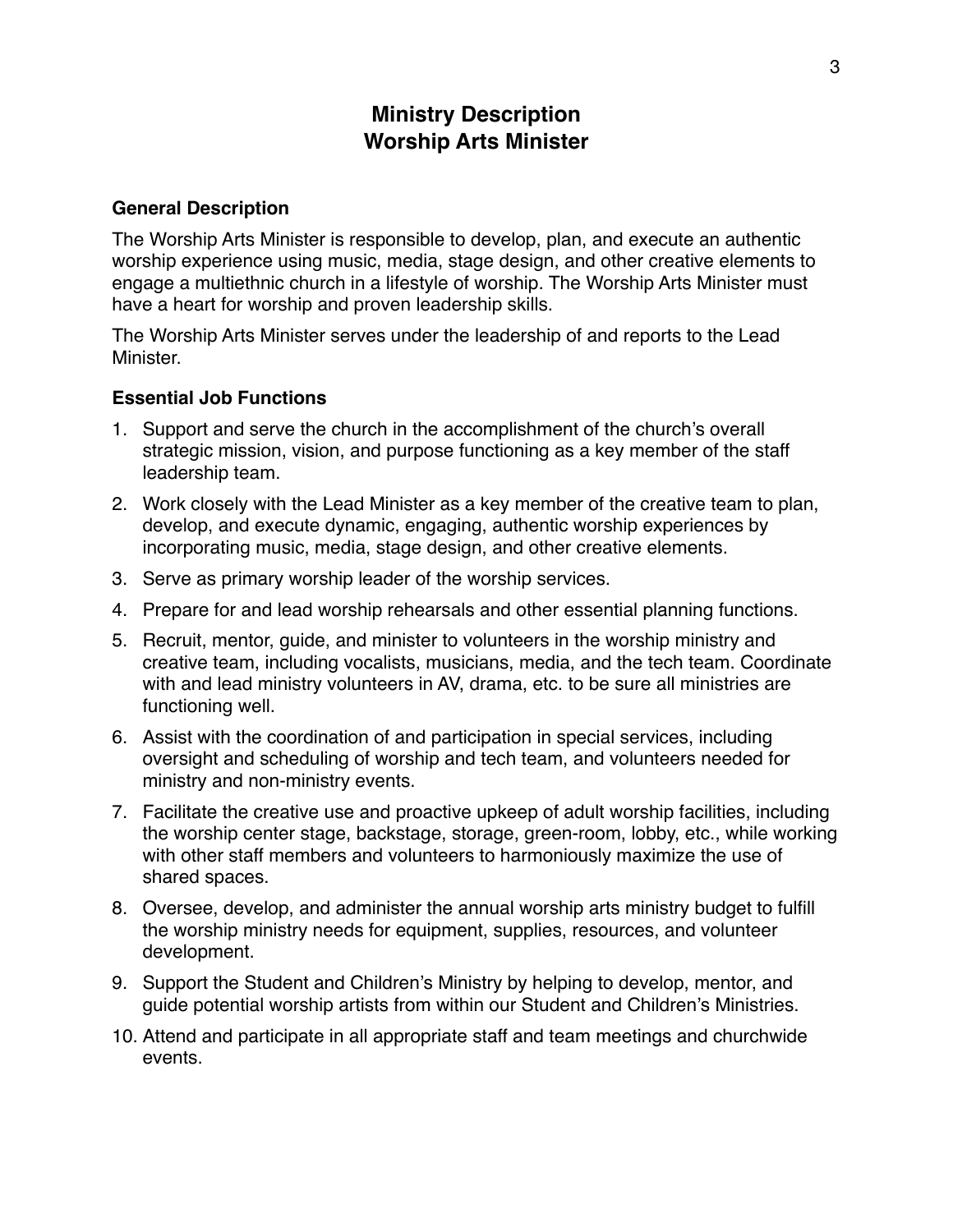# **Ministry Description Worship Arts Minister**

#### **General Description**

The Worship Arts Minister is responsible to develop, plan, and execute an authentic worship experience using music, media, stage design, and other creative elements to engage a multiethnic church in a lifestyle of worship. The Worship Arts Minister must have a heart for worship and proven leadership skills.

The Worship Arts Minister serves under the leadership of and reports to the Lead **Minister** 

### **Essential Job Functions**

- 1. Support and serve the church in the accomplishment of the church's overall strategic mission, vision, and purpose functioning as a key member of the staff leadership team.
- 2. Work closely with the Lead Minister as a key member of the creative team to plan, develop, and execute dynamic, engaging, authentic worship experiences by incorporating music, media, stage design, and other creative elements.
- 3. Serve as primary worship leader of the worship services.
- 4. Prepare for and lead worship rehearsals and other essential planning functions.
- 5. Recruit, mentor, guide, and minister to volunteers in the worship ministry and creative team, including vocalists, musicians, media, and the tech team. Coordinate with and lead ministry volunteers in AV, drama, etc. to be sure all ministries are functioning well.
- 6. Assist with the coordination of and participation in special services, including oversight and scheduling of worship and tech team, and volunteers needed for ministry and non-ministry events.
- 7. Facilitate the creative use and proactive upkeep of adult worship facilities, including the worship center stage, backstage, storage, green-room, lobby, etc., while working with other staff members and volunteers to harmoniously maximize the use of shared spaces.
- 8. Oversee, develop, and administer the annual worship arts ministry budget to fulfill the worship ministry needs for equipment, supplies, resources, and volunteer development.
- 9. Support the Student and Children's Ministry by helping to develop, mentor, and guide potential worship artists from within our Student and Children's Ministries.
- 10. Attend and participate in all appropriate staff and team meetings and churchwide events.